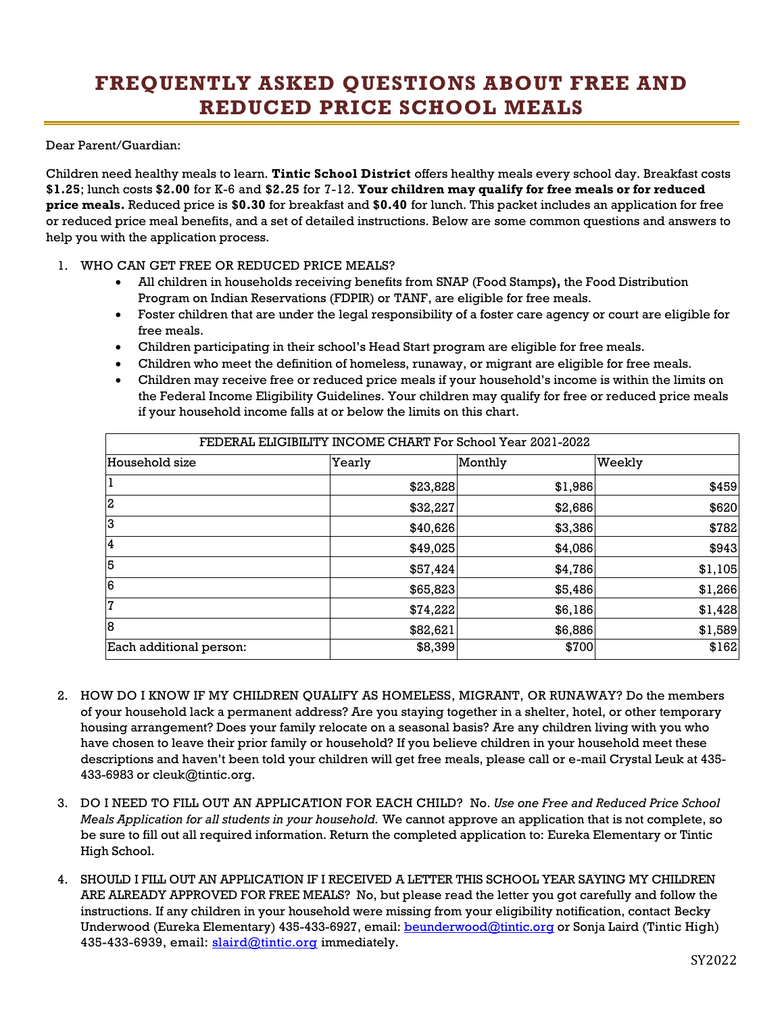## **FREQUENTLY ASKED QUESTIONS ABOUT FREE AND REDUCED PRICE SCHOOL MEALS**

Dear Parent/Guardian:

Children need healthy meals to learn. **Tintic School District** offers healthy meals every school day. Breakfast costs **\$1.25**; lunch costs **\$2.00** for K-6 and **\$2.25** for 7-12. **Your children may qualify for free meals or for reduced price meals.** Reduced price is **\$0.30** for breakfast and **\$0.40** for lunch. This packet includes an application for free or reduced price meal benefits, and a set of detailed instructions. Below are some common questions and answers to help you with the application process.

## 1. WHO CAN GET FREE OR REDUCED PRICE MEALS?

- All children in households receiving benefits from SNAP (Food Stamps**),** the Food Distribution Program on Indian Reservations (FDPIR) or TANF, are eligible for free meals.
- Foster children that are under the legal responsibility of a foster care agency or court are eligible for free meals.
- Children participating in their school's Head Start program are eligible for free meals.
- Children who meet the definition of homeless, runaway, or migrant are eligible for free meals.
- Children may receive free or reduced price meals if your household's income is within the limits on the Federal Income Eligibility Guidelines. Your children may qualify for free or reduced price meals if your household income falls at or below the limits on this chart.

| FEDERAL ELIGIBILITY INCOME CHART For School Year 2021-2022 |          |         |         |
|------------------------------------------------------------|----------|---------|---------|
| Household size                                             | Yearly   | Monthly | Weekly  |
|                                                            | \$23,828 | \$1,986 | \$459   |
| 2                                                          | \$32,227 | \$2,686 | \$620   |
| 3                                                          | \$40,626 | \$3,386 | \$782   |
| 14                                                         | \$49,025 | \$4,086 | \$943   |
| 5                                                          | \$57,424 | \$4,786 | \$1,105 |
| 6                                                          | \$65,823 | \$5,486 | \$1,266 |
| 17                                                         | \$74,222 | \$6,186 | \$1,428 |
| 8                                                          | \$82,621 | \$6,886 | \$1,589 |
| Each additional person:                                    | \$8,399  | \$700   | \$162   |

- 2. HOW DO I KNOW IF MY CHILDREN QUALIFY AS HOMELESS, MIGRANT, OR RUNAWAY? Do the members of your household lack a permanent address? Are you staying together in a shelter, hotel, or other temporary housing arrangement? Does your family relocate on a seasonal basis? Are any children living with you who have chosen to leave their prior family or household? If you believe children in your household meet these descriptions and haven't been told your children will get free meals, please call or e-mail Crystal Leuk at 435- 433-6983 or cleuk@tintic.org.
- 3. DO I NEED TO FILL OUT AN APPLICATION FOR EACH CHILD? No. *Use one Free and Reduced Price School Meals Application for all students in your household.* We cannot approve an application that is not complete, so be sure to fill out all required information. Return the completed application to: Eureka Elementary or Tintic High School.
- 4. SHOULD I FILL OUT AN APPLICATION IF I RECEIVED A LETTER THIS SCHOOL YEAR SAYING MY CHILDREN ARE ALREADY APPROVED FOR FREE MEALS? No, but please read the letter you got carefully and follow the instructions. If any children in your household were missing from your eligibility notification, contact Becky Underwood (Eureka Elementary) 435-433-6927, email: **beunderwood@tintic.org** or Sonja Laird (Tintic High) 435-433-6939, email: [slaird@tintic.org](mailto:slaird@tintic.org) immediately.